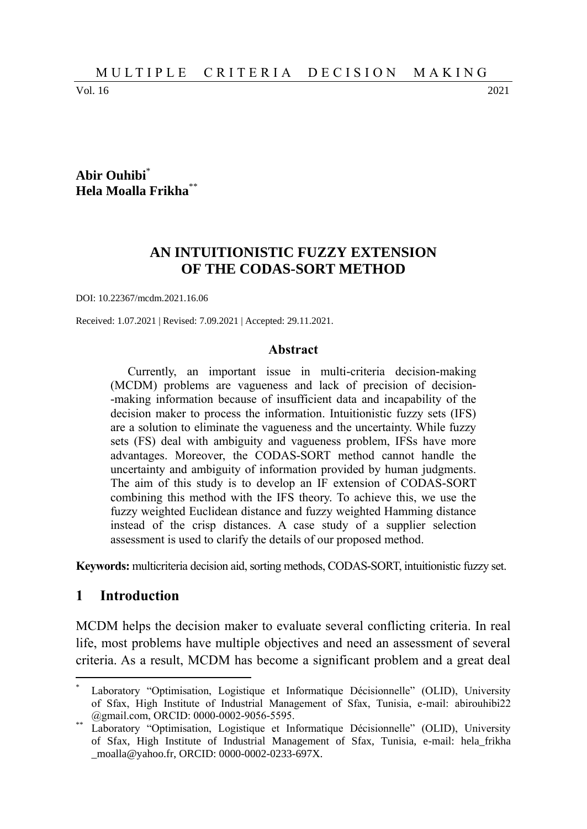Vol. 16 2021

# **Abir Ouhibi**\* **Hela Moalla Frikha**\*\*

# **AN INTUITIONISTIC FUZZY EXTENSION OF THE CODAS-SORT METHOD**

DOI: 10.22367/mcdm.2021.16.06

Received: 1.07.2021 | Revised: 7.09.2021 | Accepted: 29.11.2021.

#### **Abstract**

Currently, an important issue in multi-criteria decision-making (MCDM) problems are vagueness and lack of precision of decision- -making information because of insufficient data and incapability of the decision maker to process the information. Intuitionistic fuzzy sets (IFS) are a solution to eliminate the vagueness and the uncertainty. While fuzzy sets (FS) deal with ambiguity and vagueness problem, IFSs have more advantages. Moreover, the CODAS-SORT method cannot handle the uncertainty and ambiguity of information provided by human judgments. The aim of this study is to develop an IF extension of CODAS-SORT combining this method with the IFS theory. To achieve this, we use the fuzzy weighted Euclidean distance and fuzzy weighted Hamming distance instead of the crisp distances. A case study of a supplier selection assessment is used to clarify the details of our proposed method.

**Keywords:** multicriteria decision aid, sorting methods, CODAS-SORT, intuitionistic fuzzy set.

# **1 Introduction**

 $\overline{a}$ 

MCDM helps the decision maker to evaluate several conflicting criteria. In real life, most problems have multiple objectives and need an assessment of several criteria. As a result, MCDM has become a significant problem and a great deal

Laboratory "Optimisation, Logistique et Informatique Décisionnelle" (OLID), University of Sfax, High Institute of Industrial Management of Sfax, Tunisia, e-mail: abirouhibi22 @gmail.com, ORCID: 0000-0002-9056-5595.

Laboratory "Optimisation, Logistique et Informatique Décisionnelle" (OLID), University of Sfax, High Institute of Industrial Management of Sfax, Tunisia, e-mail: hela\_frikha \_moalla@yahoo.fr, ORCID: 0000-0002-0233-697X.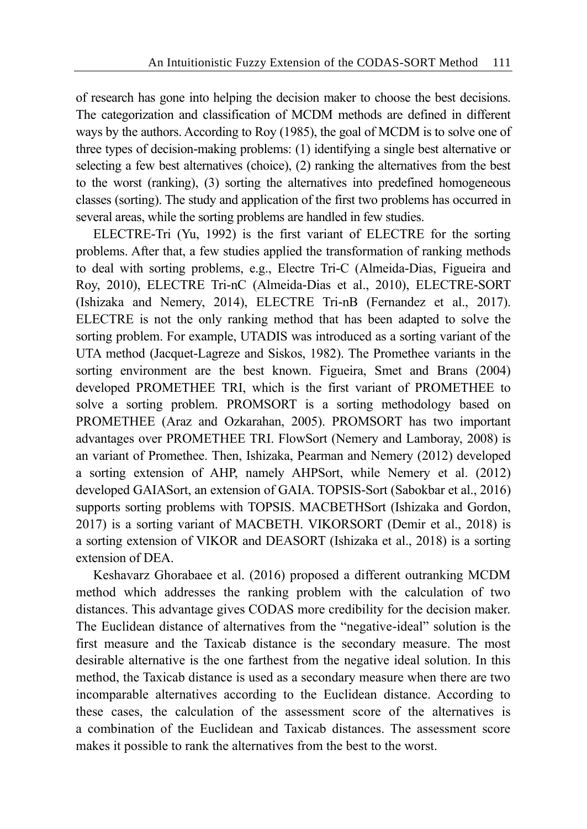of research has gone into helping the decision maker to choose the best decisions. The categorization and classification of MCDM methods are defined in different ways by the authors. According to Roy (1985), the goal of MCDM is to solve one of three types of decision-making problems: (1) identifying a single best alternative or selecting a few best alternatives (choice), (2) ranking the alternatives from the best to the worst (ranking), (3) sorting the alternatives into predefined homogeneous classes (sorting). The study and application of the first two problems has occurred in several areas, while the sorting problems are handled in few studies.

ELECTRE-Tri (Yu, 1992) is the first variant of ELECTRE for the sorting problems. After that, a few studies applied the transformation of ranking methods to deal with sorting problems, e.g., Electre Tri-C (Almeida-Dias, Figueira and Roy, 2010), ELECTRE Tri-nC (Almeida-Dias et al., 2010), ELECTRE-SORT (Ishizaka and Nemery, 2014), ELECTRE Tri-nB (Fernandez et al., 2017). ELECTRE is not the only ranking method that has been adapted to solve the sorting problem. For example, UTADIS was introduced as a sorting variant of the UTA method (Jacquet-Lagreze and Siskos, 1982). The Promethee variants in the sorting environment are the best known. Figueira, Smet and Brans (2004) developed PROMETHEE TRI, which is the first variant of PROMETHEE to solve a sorting problem. PROMSORT is a sorting methodology based on PROMETHEE (Araz and Ozkarahan, 2005). PROMSORT has two important advantages over PROMETHEE TRI. FlowSort (Nemery and Lamboray, 2008) is an variant of Promethee. Then, Ishizaka, Pearman and Nemery (2012) developed a sorting extension of AHP, namely AHPSort, while Nemery et al. (2012) developed GAIASort, an extension of GAIA. TOPSIS-Sort (Sabokbar et al., 2016) supports sorting problems with TOPSIS. MACBETHSort (Ishizaka and Gordon, 2017) is a sorting variant of MACBETH. VIKORSORT (Demir et al., 2018) is a sorting extension of VIKOR and DEASORT (Ishizaka et al., 2018) is a sorting extension of DEA.

Keshavarz Ghorabaee et al. (2016) proposed a different outranking MCDM method which addresses the ranking problem with the calculation of two distances. This advantage gives CODAS more credibility for the decision maker. The Euclidean distance of alternatives from the "negative-ideal" solution is the first measure and the Taxicab distance is the secondary measure. The most desirable alternative is the one farthest from the negative ideal solution. In this method, the Taxicab distance is used as a secondary measure when there are two incomparable alternatives according to the Euclidean distance. According to these cases, the calculation of the assessment score of the alternatives is a combination of the Euclidean and Taxicab distances. The assessment score makes it possible to rank the alternatives from the best to the worst.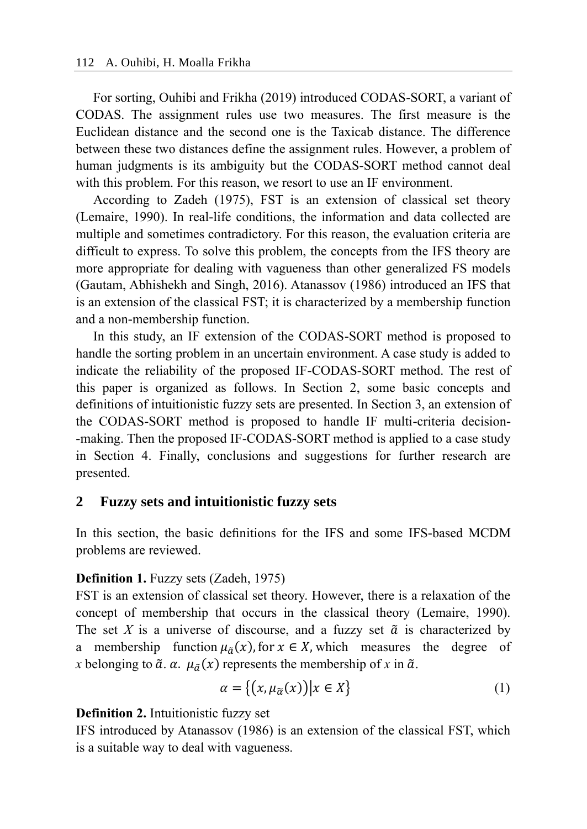For sorting, Ouhibi and Frikha (2019) introduced CODAS-SORT, a variant of CODAS. The assignment rules use two measures. The first measure is the Euclidean distance and the second one is the Taxicab distance. The difference between these two distances define the assignment rules. However, a problem of human judgments is its ambiguity but the CODAS-SORT method cannot deal with this problem. For this reason, we resort to use an IF environment.

According to Zadeh (1975), FST is an extension of classical set theory (Lemaire, 1990). In real-life conditions, the information and data collected are multiple and sometimes contradictory. For this reason, the evaluation criteria are difficult to express. To solve this problem, the concepts from the IFS theory are more appropriate for dealing with vagueness than other generalized FS models (Gautam, Abhishekh and Singh, 2016). Atanassov (1986) introduced an IFS that is an extension of the classical FST; it is characterized by a membership function and a non-membership function.

In this study, an IF extension of the CODAS-SORT method is proposed to handle the sorting problem in an uncertain environment. A case study is added to indicate the reliability of the proposed IF-CODAS-SORT method. The rest of this paper is organized as follows. In Section 2, some basic concepts and definitions of intuitionistic fuzzy sets are presented. In Section 3, an extension of the CODAS-SORT method is proposed to handle IF multi-criteria decision- -making. Then the proposed IF-CODAS-SORT method is applied to a case study in Section 4. Finally, conclusions and suggestions for further research are presented.

# **2 Fuzzy sets and intuitionistic fuzzy sets**

In this section, the basic definitions for the IFS and some IFS-based MCDM problems are reviewed.

# **Definition 1.** Fuzzy sets (Zadeh, 1975)

FST is an extension of classical set theory. However, there is a relaxation of the concept of membership that occurs in the classical theory (Lemaire, 1990). The set *X* is a universe of discourse, and a fuzzy set  $\tilde{a}$  is characterized by a membership function  $\mu_{\tilde{a}}(x)$ , for  $x \in X$ , which measures the degree of *x* belonging to  $\tilde{a}$ .  $\alpha$ .  $\mu_{\tilde{a}}(x)$  represents the membership of *x* in  $\tilde{a}$ .

$$
\alpha = \{ (x, \mu_{\widetilde{\alpha}}(x)) | x \in X \}
$$
 (1)

# **Definition 2.** Intuitionistic fuzzy set

IFS introduced by Atanassov (1986) is an extension of the classical FST, which is a suitable way to deal with vagueness.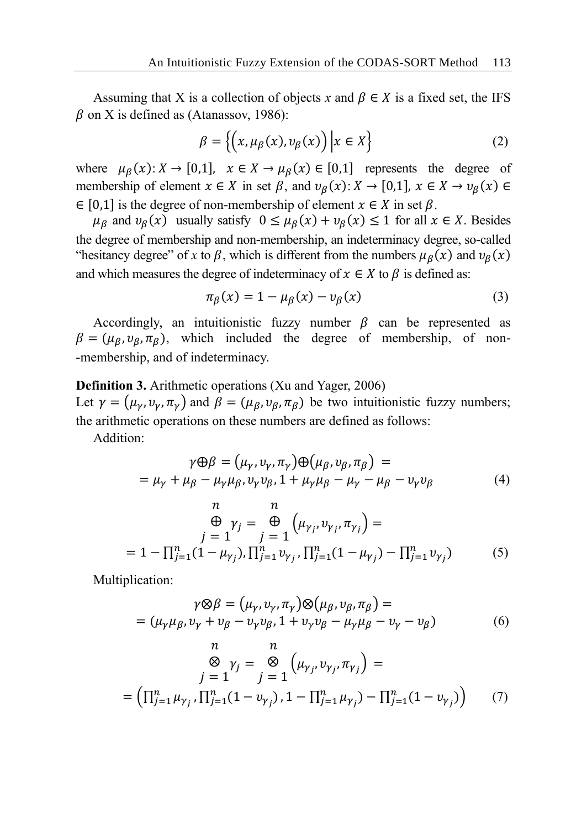Assuming that X is a collection of objects x and  $\beta \in X$  is a fixed set, the IFS  $\beta$  on X is defined as (Atanassov, 1986):

$$
\beta = \left\{ \left( x, \mu_{\beta}(x), v_{\beta}(x) \right) \middle| x \in X \right\}
$$
 (2)

where  $\mu_{\beta}(x): X \to [0,1], \quad x \in X \to \mu_{\beta}(x) \in [0,1]$  represents the degree of membership of element  $x \in X$  in set  $\beta$ , and  $\nu_{\beta}(x) : X \to [0,1], x \in X \to \nu_{\beta}(x) \in$  $\in$  [0,1] is the degree of non-membership of element  $x \in X$  in set  $\beta$ .

 $\mu_{\beta}$  and  $\nu_{\beta}(x)$  usually satisfy  $0 \le \mu_{\beta}(x) + \nu_{\beta}(x) \le 1$  for all  $x \in X$ . Besides the degree of membership and non-membership, an indeterminacy degree, so-called "hesitancy degree" of *x* to  $\beta$ , which is different from the numbers  $\mu_{\beta}(x)$  and  $\nu_{\beta}(x)$ and which measures the degree of indeterminacy of  $x \in X$  to  $\beta$  is defined as:

$$
\pi_{\beta}(x) = 1 - \mu_{\beta}(x) - \nu_{\beta}(x) \tag{3}
$$

Accordingly, an intuitionistic fuzzy number  $\beta$  can be represented as  $\beta = (\mu_{\beta}, \nu_{\beta}, \pi_{\beta})$ , which included the degree of membership, of non--membership, and of indeterminacy.

#### **Definition 3.** Arithmetic operations (Xu and Yager, 2006)

Let  $\gamma = (\mu_{\gamma}, v_{\gamma}, \pi_{\gamma})$  and  $\beta = (\mu_{\beta}, v_{\beta}, \pi_{\beta})$  be two intuitionistic fuzzy numbers; the arithmetic operations on these numbers are defined as follows:

Addition:

$$
\gamma \oplus \beta = (\mu_{\gamma}, \nu_{\gamma}, \pi_{\gamma}) \oplus (\mu_{\beta}, \nu_{\beta}, \pi_{\beta}) =
$$
  
=  $\mu_{\gamma} + \mu_{\beta} - \mu_{\gamma} \mu_{\beta}, \nu_{\gamma} \nu_{\beta}, 1 + \mu_{\gamma} \mu_{\beta} - \mu_{\gamma} - \mu_{\beta} - \nu_{\gamma} \nu_{\beta}$  (4)

$$
\begin{aligned}\n &n & n \\
 &\quad \bigoplus_{j=1}^{n} \gamma_{j} = \bigoplus_{j=1}^{n} \left( \mu_{\gamma_{j}}, v_{\gamma_{j}}, \pi_{\gamma_{j}} \right) = \\
 &= 1 - \prod_{j=1}^{n} (1 - \mu_{\gamma_{j}}), \prod_{j=1}^{n} v_{\gamma_{j}}, \prod_{j=1}^{n} (1 - \mu_{\gamma_{j}}) - \prod_{j=1}^{n} v_{\gamma_{j}}\n \end{aligned} \tag{5}
$$

Multiplication:

$$
\gamma \otimes \beta = (\mu_{\gamma}, \nu_{\gamma}, \pi_{\gamma}) \otimes (\mu_{\beta}, \nu_{\beta}, \pi_{\beta}) =
$$
  
=  $(\mu_{\gamma}\mu_{\beta}, \nu_{\gamma} + \nu_{\beta} - \nu_{\gamma}\nu_{\beta}, 1 + \nu_{\gamma}\nu_{\beta} - \mu_{\gamma}\mu_{\beta} - \nu_{\gamma} - \nu_{\beta})$  (6)

$$
\begin{aligned}\n &n & \mathcal{B} \\
 &\mathcal{S} \quad \gamma_j = \mathcal{B} \\
 &j = 1\n \end{aligned}\n \begin{aligned}\n &\mathcal{A} \quad \mathcal{B} \\
 &\mathcal{B} \quad \gamma_j = \mathcal{B} \\
 &\mathcal{B} \quad \gamma_j = 1\n \end{aligned}\n \begin{aligned}\n &\mathcal{A} \quad \mathcal{B} \quad \mathcal{B} \quad \mathcal{B} \quad \mathcal{B} \quad \mathcal{B} \quad \mathcal{B} \quad \mathcal{B} \quad \mathcal{B} \quad \mathcal{B} \quad \mathcal{B} \quad \mathcal{B} \quad \mathcal{B} \quad \mathcal{B} \quad \mathcal{B} \quad \mathcal{B} \quad \mathcal{B} \quad \mathcal{B} \quad \mathcal{B} \quad \mathcal{B} \quad \mathcal{B} \quad \mathcal{B} \quad \mathcal{B} \quad \mathcal{B} \quad \mathcal{B} \quad \mathcal{B} \quad \mathcal{B} \quad \mathcal{B} \quad \mathcal{B} \quad \mathcal{B} \quad \mathcal{B} \quad \mathcal{B} \quad \mathcal{B} \quad \mathcal{B} \quad \mathcal{B} \quad \mathcal{B} \quad \mathcal{B} \quad \mathcal{B} \quad \mathcal{B} \quad \mathcal{B} \quad \mathcal{B} \quad \mathcal{B} \quad \mathcal{B} \quad \mathcal{B} \quad \mathcal{B} \quad \mathcal{B} \quad \mathcal{B} \quad \mathcal{B} \quad \mathcal{B} \quad \mathcal{B} \quad \mathcal{B} \quad \mathcal{B} \quad \mathcal{B} \quad \mathcal{B} \quad \mathcal{B} \quad \mathcal{B} \quad \mathcal{B} \quad \mathcal{B} \quad \mathcal{B} \quad \mathcal{B} \quad \mathcal{B} \quad \mathcal{B} \quad \mathcal{B} \quad \mathcal{B} \quad \mathcal{B} \quad \mathcal{B} \quad \mathcal{B} \quad \mathcal{B} \quad \mathcal{B} \quad \mathcal{B} \quad \mathcal{B} \quad \mathcal{B} \quad \mathcal{B} \quad \mathcal{B} \quad \mathcal{B} \quad \mathcal{B} \quad \mathcal{B} \quad \mathcal{B} \quad \mathcal{B} \quad
$$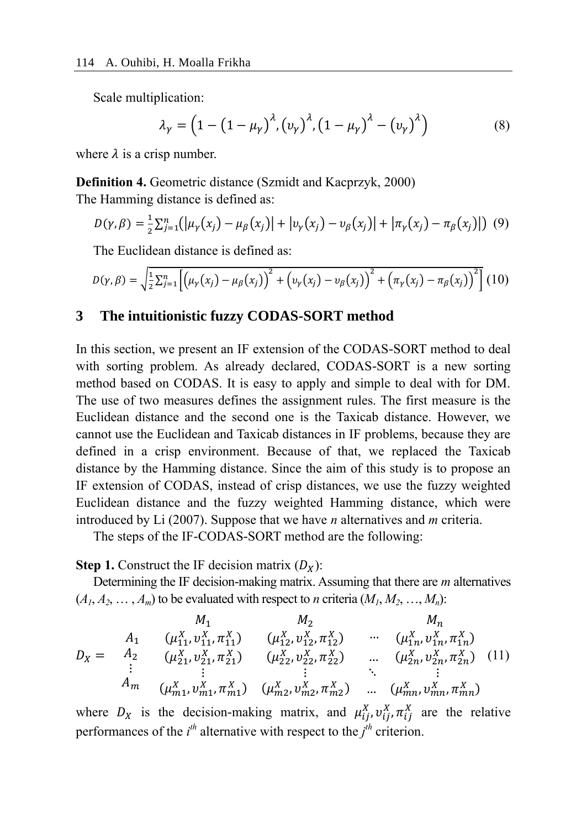Scale multiplication:

$$
\lambda_{\gamma} = \left(1 - \left(1 - \mu_{\gamma}\right)^{\lambda}, \left(v_{\gamma}\right)^{\lambda}, \left(1 - \mu_{\gamma}\right)^{\lambda} - \left(v_{\gamma}\right)^{\lambda}\right) \tag{8}
$$

where  $\lambda$  is a crisp number.

**Definition 4.** Geometric distance (Szmidt and Kacprzyk, 2000) The Hamming distance is defined as:

$$
D(\gamma, \beta) = \frac{1}{2} \sum_{j=1}^{n} (|\mu_{\gamma}(x_j) - \mu_{\beta}(x_j)| + |v_{\gamma}(x_j) - v_{\beta}(x_j)| + |\pi_{\gamma}(x_j) - \pi_{\beta}(x_j)|) \tag{9}
$$

The Euclidean distance is defined as:

$$
D(\gamma, \beta) = \sqrt{\frac{1}{2} \sum_{j=1}^{n} \left[ \left( \mu_{\gamma}(x_j) - \mu_{\beta}(x_j) \right)^2 + \left( v_{\gamma}(x_j) - v_{\beta}(x_j) \right)^2 + \left( \pi_{\gamma}(x_j) - \pi_{\beta}(x_j) \right)^2 \right]} (10)
$$

#### **3 The intuitionistic fuzzy CODAS-SORT method**

In this section, we present an IF extension of the CODAS-SORT method to deal with sorting problem. As already declared, CODAS-SORT is a new sorting method based on CODAS. It is easy to apply and simple to deal with for DM. The use of two measures defines the assignment rules. The first measure is the Euclidean distance and the second one is the Taxicab distance. However, we cannot use the Euclidean and Taxicab distances in IF problems, because they are defined in a crisp environment. Because of that, we replaced the Taxicab distance by the Hamming distance. Since the aim of this study is to propose an IF extension of CODAS, instead of crisp distances, we use the fuzzy weighted Euclidean distance and the fuzzy weighted Hamming distance, which were introduced by Li (2007). Suppose that we have *n* alternatives and *m* criteria.

The steps of the IF-CODAS-SORT method are the following:

**Step 1.** Construct the IF decision matrix  $(D_x)$ :

Determining the IF decision-making matrix. Assuming that there are *m* alternatives  $(A_1, A_2, \ldots, A_m)$  to be evaluated with respect to *n* criteria  $(M_1, M_2, \ldots, M_n)$ :

$$
D_X = \n\begin{array}{ccccc}\n & M_1 & M_2 & M_n \\
A_1 & (\mu_{11}^X, \nu_{11}^X, \pi_{11}^X) & (\mu_{12}^X, \nu_{12}^X, \pi_{12}^X) & \cdots & (\mu_{1n}^X, \nu_{1n}^X, \pi_{1n}^X) \\
A_2 & (\mu_{21}^X, \nu_{21}^X, \pi_{21}^X) & (\mu_{22}^X, \nu_{22}^X, \pi_{22}^X) & \cdots & (\mu_{2n}^X, \nu_{2n}^X, \pi_{2n}^X) \\
\vdots & \vdots & \vdots & \ddots & \vdots \\
A_m & (\mu_{m1}^X, \nu_{m1}^X, \pi_{m1}^X) & (\mu_{m2}^X, \nu_{m2}^X, \pi_{m2}^X) & \cdots & (\mu_{mn}^X, \nu_{mn}^X, \pi_{mn}^X)\n\end{array}
$$
\n(11)

where  $D_X$  is the decision-making matrix, and  $\mu_{ij}^X$ ,  $v_{ij}^X$ ,  $\pi_{ij}^X$  are the relative performances of the  $i^{th}$  alternative with respect to the  $j^{th}$  criterion.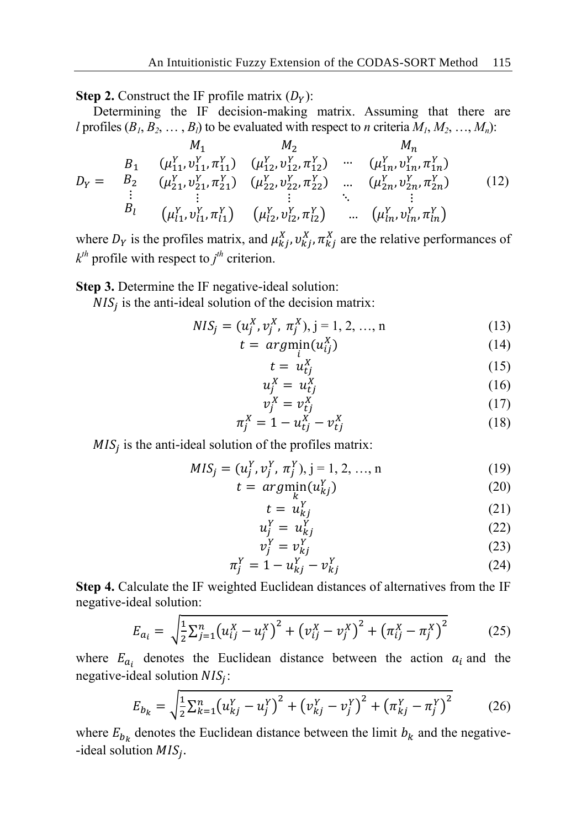**Step 2.** Construct the IF profile matrix  $(D_y)$ :

Determining the IF decision-making matrix. Assuming that there are *l* profiles  $(B_1, B_2, \ldots, B_l)$  to be evaluated with respect to *n* criteria  $M_1, M_2, \ldots, M_n$ ):

$$
M_{1} \t M_{2} \t M_{n}
$$
\n
$$
D_{Y} = \begin{array}{ccccc}\n & B_{1} & (\mu_{11}^{Y}, \nu_{11}^{Y}, \pi_{11}^{Y}) & (\mu_{12}^{Y}, \nu_{12}^{Y}, \pi_{12}^{Y}) & \cdots & (\mu_{1n}^{Y}, \nu_{1n}^{Y}, \pi_{1n}^{Y}) \\
 & B_{2} & (\mu_{21}^{Y}, \nu_{21}^{Y}, \pi_{21}^{Y}) & (\mu_{22}^{Y}, \nu_{22}^{Y}, \pi_{22}^{Y}) & \cdots & (\mu_{2n}^{Y}, \nu_{2n}^{Y}, \pi_{2n}^{Y}) \\
 & \vdots & \vdots & \ddots & \vdots \\
 & B_{l} & (\mu_{l1}^{Y}, \nu_{l1}^{Y}, \pi_{l1}^{Y}) & (\mu_{l2}^{Y}, \nu_{l2}^{Y}, \pi_{l2}^{Y}) & \cdots & (\mu_{ln}^{Y}, \nu_{ln}^{Y}, \pi_{ln}^{Y})\n\end{array} \tag{12}
$$

where  $D_Y$  is the profiles matrix, and  $\mu_{kj}^X$ ,  $v_{kj}^X$ ,  $\pi_{kj}^X$  are the relative performances of  $k$ <sup>th</sup> profile with respect to  $j$ <sup>th</sup> criterion.

**Step 3.** Determine the IF negative-ideal solution:

 $NIS_j$  is the anti-ideal solution of the decision matrix:

$$
NIS_j = (u_j^X, v_j^X, \pi_j^X), j = 1, 2, ..., n
$$
 (13)

$$
t = argmin_{i}(u_{ij}^{X})
$$
\n(14)

$$
t = u_{tj}^X \tag{15}
$$

$$
u_j^X = u_{tj}^X \tag{16}
$$

$$
v_j^X = v_{tj}^X \tag{17}
$$

$$
\pi_j^X = 1 - u_{tj}^X - v_{tj}^X \tag{18}
$$

 $MIS_j$  is the anti-ideal solution of the profiles matrix:

$$
MIS_j = (u_j^Y, v_j^Y, \pi_j^Y), j = 1, 2, ..., n
$$
 (19)

$$
t = arg\min_{k} (u_{kj}^{Y})
$$
\n(20)

$$
t = u_{kj}^Y \tag{21}
$$

$$
u_j^Y = u_{kj}^Y \tag{22}
$$

$$
v_j^Y = v_{kj}^Y \tag{23}
$$

$$
\pi_j^Y = 1 - u_{kj}^Y - v_{kj}^Y \tag{24}
$$

**Step 4.** Calculate the IF weighted Euclidean distances of alternatives from the IF negative-ideal solution:

$$
E_{a_i} = \sqrt{\frac{1}{2} \sum_{j=1}^n (u_{ij}^X - u_j^X)^2 + (v_{ij}^X - v_j^X)^2 + (\pi_{ij}^X - \pi_j^X)^2}
$$
(25)

where  $E_{a_i}$  denotes the Euclidean distance between the action  $a_i$  and the negative-ideal solution  $NIS_j$ :

$$
E_{b_k} = \sqrt{\frac{1}{2} \sum_{k=1}^{n} (u_{kj}^Y - u_j^Y)^2 + (v_{kj}^Y - v_j^Y)^2 + (\pi_{kj}^Y - \pi_j^Y)^2}
$$
(26)

where  $E_{b_k}$  denotes the Euclidean distance between the limit  $b_k$  and the negative--ideal solution  $MIS_j$ .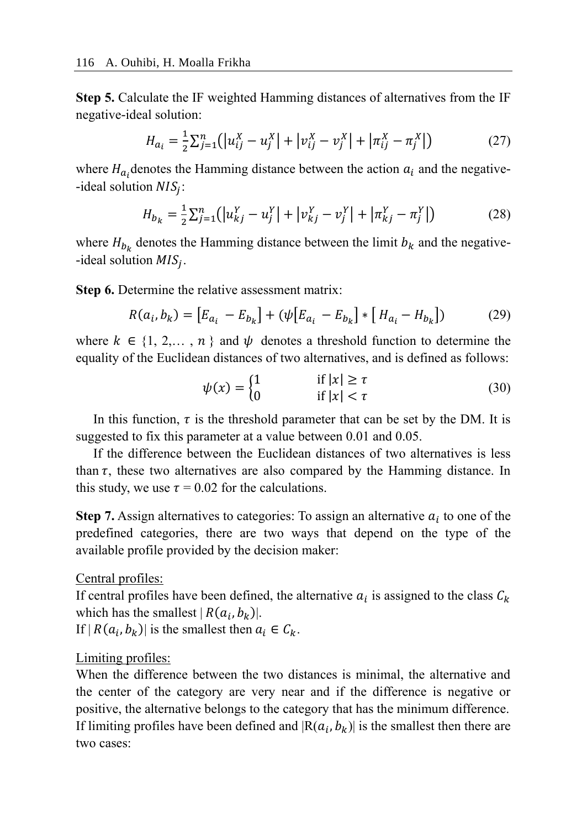**Step 5.** Calculate the IF weighted Hamming distances of alternatives from the IF negative-ideal solution:

$$
H_{a_i} = \frac{1}{2} \sum_{j=1}^n (|u_{ij}^X - u_j^X| + |v_{ij}^X - v_j^X| + |\pi_{ij}^X - \pi_j^X|)
$$
 (27)

where  $H_{a_i}$  denotes the Hamming distance between the action  $a_i$  and the negative--ideal solution  $NIS_j$ :

$$
H_{b_k} = \frac{1}{2} \sum_{j=1}^n (|u_{kj}^Y - u_j^Y| + |v_{kj}^Y - v_j^Y| + |\pi_{kj}^Y - \pi_j^Y|)
$$
 (28)

where  $H_{b_k}$  denotes the Hamming distance between the limit  $b_k$  and the negative--ideal solution  $MIS_j$ .

**Step 6.** Determine the relative assessment matrix:

$$
R(a_i, b_k) = [E_{a_i} - E_{b_k}] + (\psi [E_{a_i} - E_{b_k}] * [H_{a_i} - H_{b_k}])
$$
(29)

where  $k \in \{1, 2, \ldots, n\}$  and  $\psi$  denotes a threshold function to determine the equality of the Euclidean distances of two alternatives, and is defined as follows:

$$
\psi(x) = \begin{cases} 1 & \text{if } |x| \ge \tau \\ 0 & \text{if } |x| < \tau \end{cases}
$$
\n(30)

In this function,  $\tau$  is the threshold parameter that can be set by the DM. It is suggested to fix this parameter at a value between 0.01 and 0.05.

If the difference between the Euclidean distances of two alternatives is less than  $\tau$ , these two alternatives are also compared by the Hamming distance. In this study, we use  $\tau = 0.02$  for the calculations.

**Step 7.** Assign alternatives to categories: To assign an alternative  $a_i$  to one of the predefined categories, there are two ways that depend on the type of the available profile provided by the decision maker:

Central profiles:

If central profiles have been defined, the alternative  $a_i$  is assigned to the class  $C_k$ which has the smallest  $|R(a_i, b_k)|$ .

If  $|R(a_i, b_k)|$  is the smallest then  $a_i \in C_k$ .

# Limiting profiles:

When the difference between the two distances is minimal, the alternative and the center of the category are very near and if the difference is negative or positive, the alternative belongs to the category that has the minimum difference. If limiting profiles have been defined and  $|R(a_i, b_k)|$  is the smallest then there are two cases: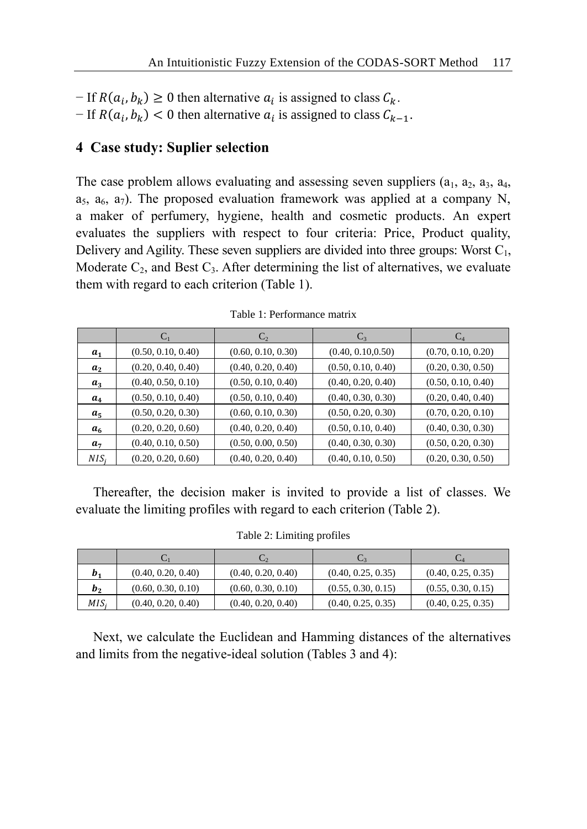- − If  $R(a_i, b_k) \ge 0$  then alternative  $a_i$  is assigned to class  $C_k$ .
- $-If R(a_i, b_k) < 0$  then alternative  $a_i$  is assigned to class  $C_{k-1}$ .

# **4 Case study: Suplier selection**

The case problem allows evaluating and assessing seven suppliers  $(a_1, a_2, a_3, a_4, a_5, a_6)$  $a_5$ ,  $a_6$ ,  $a_7$ ). The proposed evaluation framework was applied at a company N, a maker of perfumery, hygiene, health and cosmetic products. An expert evaluates the suppliers with respect to four criteria: Price, Product quality, Delivery and Agility. These seven suppliers are divided into three groups: Worst  $C_1$ , Moderate  $C_2$ , and Best  $C_3$ . After determining the list of alternatives, we evaluate them with regard to each criterion (Table 1).

|                |                    | $C_2$              | $C_3$              | $C_4$              |
|----------------|--------------------|--------------------|--------------------|--------------------|
| $a_{1}$        | (0.50, 0.10, 0.40) | (0.60, 0.10, 0.30) | (0.40, 0.10, 0.50) | (0.70, 0.10, 0.20) |
| $a_{2}$        | (0.20, 0.40, 0.40) | (0.40, 0.20, 0.40) | (0.50, 0.10, 0.40) | (0.20, 0.30, 0.50) |
| $a_3$          | (0.40, 0.50, 0.10) | (0.50, 0.10, 0.40) | (0.40, 0.20, 0.40) | (0.50, 0.10, 0.40) |
| $a_4$          | (0.50, 0.10, 0.40) | (0.50, 0.10, 0.40) | (0.40, 0.30, 0.30) | (0.20, 0.40, 0.40) |
| $a_{5}$        | (0.50, 0.20, 0.30) | (0.60, 0.10, 0.30) | (0.50, 0.20, 0.30) | (0.70, 0.20, 0.10) |
| a <sub>6</sub> | (0.20, 0.20, 0.60) | (0.40, 0.20, 0.40) | (0.50, 0.10, 0.40) | (0.40, 0.30, 0.30) |
| a <sub>7</sub> | (0.40, 0.10, 0.50) | (0.50, 0.00, 0.50) | (0.40, 0.30, 0.30) | (0.50, 0.20, 0.30) |
| $NIS_i$        | (0.20, 0.20, 0.60) | (0.40, 0.20, 0.40) | (0.40, 0.10, 0.50) | (0.20, 0.30, 0.50) |

Table 1: Performance matrix

Thereafter, the decision maker is invited to provide a list of classes. We evaluate the limiting profiles with regard to each criterion (Table 2).

#### Table 2: Limiting profiles

|         |                    | $C_{2}$            |                    | ◡▵                 |
|---------|--------------------|--------------------|--------------------|--------------------|
| $b_{1}$ | (0.40, 0.20, 0.40) | (0.40, 0.20, 0.40) | (0.40, 0.25, 0.35) | (0.40, 0.25, 0.35) |
| $b_{2}$ | (0.60, 0.30, 0.10) | (0.60, 0.30, 0.10) | (0.55, 0.30, 0.15) | (0.55, 0.30, 0.15) |
| MIS.    | (0.40, 0.20, 0.40) | (0.40, 0.20, 0.40) | (0.40, 0.25, 0.35) | (0.40, 0.25, 0.35) |

Next, we calculate the Euclidean and Hamming distances of the alternatives and limits from the negative-ideal solution (Tables 3 and 4):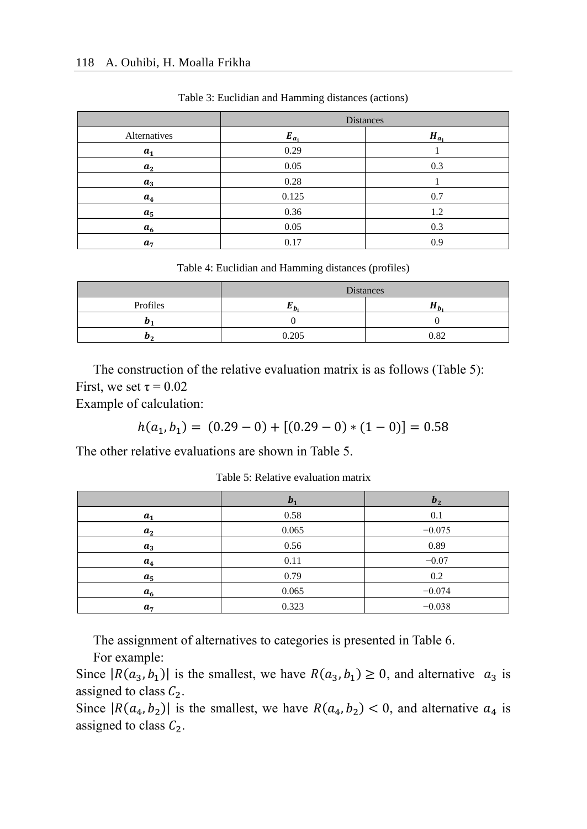|                | <b>Distances</b> |           |  |
|----------------|------------------|-----------|--|
| Alternatives   | $E_{a_i}$        | $H_{a_i}$ |  |
| a <sub>1</sub> | 0.29             |           |  |
| a <sub>2</sub> | 0.05             | 0.3       |  |
| $a_3$          | 0.28             |           |  |
| $a_4$          | 0.125            | 0.7       |  |
| $a_5$          | 0.36             | 1.2       |  |
| a <sub>6</sub> | 0.05             | 0.3       |  |
| a <sub>7</sub> | 0.17             | 0.9       |  |

Table 3: Euclidian and Hamming distances (actions)

Table 4: Euclidian and Hamming distances (profiles)

|          | <b>Distances</b> |       |  |
|----------|------------------|-------|--|
| Profiles |                  | $n_h$ |  |
|          |                  |       |  |
| ""       | 0.205            | 0.82  |  |

The construction of the relative evaluation matrix is as follows (Table 5): First, we set  $\tau = 0.02$ 

Example of calculation:

$$
h(a_1, b_1) = (0.29 - 0) + [(0.29 - 0) * (1 - 0)] = 0.58
$$

The other relative evaluations are shown in Table 5.

|                | b <sub>1</sub> | b <sub>2</sub> |
|----------------|----------------|----------------|
| a <sub>1</sub> | 0.58           | 0.1            |
| $a_{2}$        | 0.065          | $-0.075$       |
| $a_3$          | 0.56           | 0.89           |
| $a_4$          | 0.11           | $-0.07$        |
| $a_5$          | 0.79           | 0.2            |
| a <sub>6</sub> | 0.065          | $-0.074$       |
| a <sub>7</sub> | 0.323          | $-0.038$       |

Table 5: Relative evaluation matrix

The assignment of alternatives to categories is presented in Table 6.

For example:

Since  $|R(a_3, b_1)|$  is the smallest, we have  $R(a_3, b_1) \ge 0$ , and alternative  $a_3$  is assigned to class  $C_2$ .

Since  $|R(a_4, b_2)|$  is the smallest, we have  $R(a_4, b_2) < 0$ , and alternative  $a_4$  is assigned to class  $C_2$ .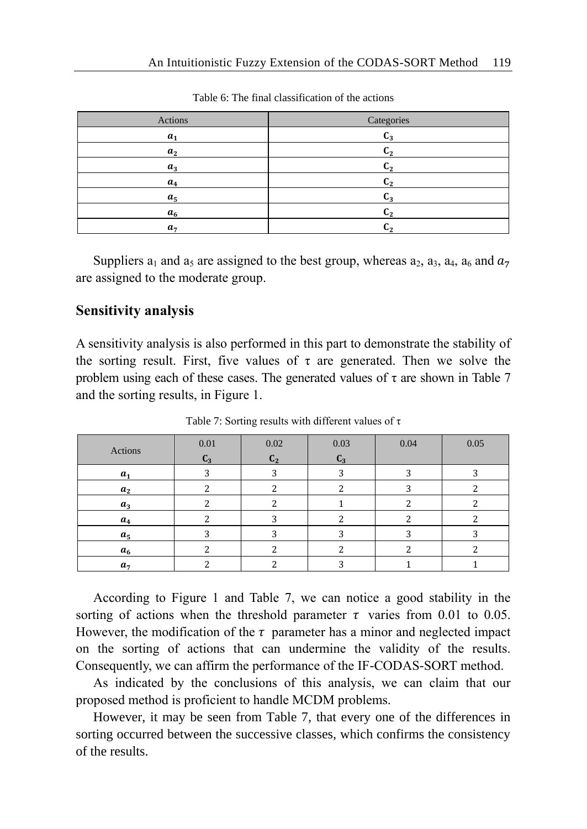| Actions        | Categories       |
|----------------|------------------|
| a <sub>1</sub> | $C_3$            |
| a <sub>2</sub> | $\mathbf{u}_2$   |
| $a_3$          | $\textsf{C}_2$   |
| $a_4$          | Նշ               |
| a <sub>5</sub> | $\textsf{C}_3$   |
| a <sub>6</sub> | C2               |
| a <sub>7</sub> | $\mathbf{L}_{2}$ |

Table 6: The final classification of the actions

Suppliers  $a_1$  and  $a_5$  are assigned to the best group, whereas  $a_2$ ,  $a_3$ ,  $a_4$ ,  $a_6$  and  $a_7$ are assigned to the moderate group.

# **Sensitivity analysis**

A sensitivity analysis is also performed in this part to demonstrate the stability of the sorting result. First, five values of  $\tau$  are generated. Then we solve the problem using each of these cases. The generated values of  $\tau$  are shown in Table 7 and the sorting results, in Figure 1.

| Actions        | 0.01  | 0.02           | 0.03  | 0.04 | 0.05 |
|----------------|-------|----------------|-------|------|------|
|                | $C_3$ | C <sub>2</sub> | $C_3$ |      |      |
| $a_1$          |       |                |       | ∍    |      |
| $a_2$          |       |                |       | ∍    |      |
| $a_3$          |       |                |       |      |      |
| $a_4$          |       |                |       |      |      |
| $a_5$          |       |                |       |      |      |
| a <sub>6</sub> |       |                |       |      |      |
| a <sub>7</sub> |       |                |       |      |      |

Table 7: Sorting results with different values of τ

According to Figure 1 and Table 7, we can notice a good stability in the sorting of actions when the threshold parameter  $\tau$  varies from 0.01 to 0.05. However, the modification of the  $\tau$  parameter has a minor and neglected impact on the sorting of actions that can undermine the validity of the results. Consequently, we can affirm the performance of the IF-CODAS-SORT method.

As indicated by the conclusions of this analysis, we can claim that our proposed method is proficient to handle MCDM problems.

However, it may be seen from Table 7, that every one of the differences in sorting occurred between the successive classes, which confirms the consistency of the results.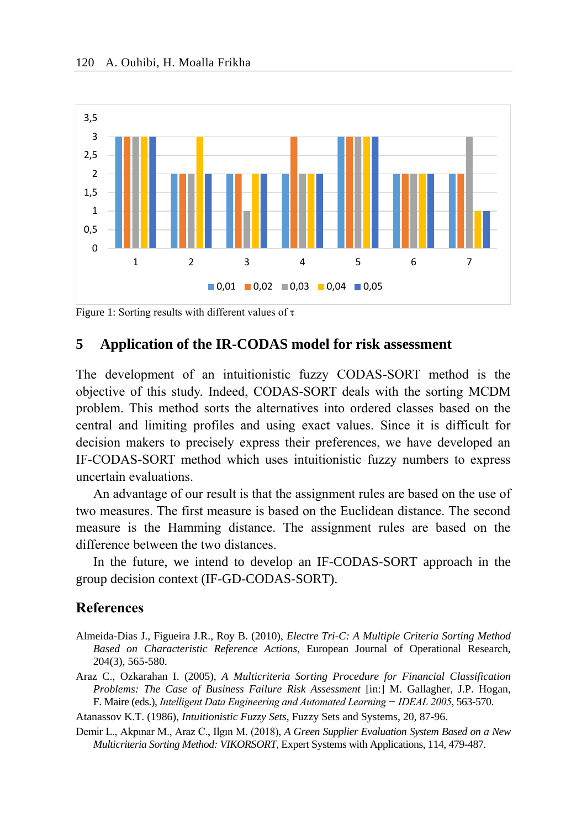

Figure 1: Sorting results with different values of  $\tau$ 

### **5 Application of the IR-CODAS model for risk assessment**

The development of an intuitionistic fuzzy CODAS-SORT method is the objective of this study. Indeed, CODAS-SORT deals with the sorting MCDM problem. This method sorts the alternatives into ordered classes based on the central and limiting profiles and using exact values. Since it is difficult for decision makers to precisely express their preferences, we have developed an IF-CODAS-SORT method which uses intuitionistic fuzzy numbers to express uncertain evaluations.

An advantage of our result is that the assignment rules are based on the use of two measures. The first measure is based on the Euclidean distance. The second measure is the Hamming distance. The assignment rules are based on the difference between the two distances.

In the future, we intend to develop an IF-CODAS-SORT approach in the group decision context (IF-GD-CODAS-SORT).

#### **References**

- Almeida-Dias J., Figueira J.R., Roy B. (2010), *Electre Tri-C: A Multiple Criteria Sorting Method Based on Characteristic Reference Actions*, European Journal of Operational Research, 204(3), 565-580.
- Araz C., Ozkarahan I. (2005), *A Multicriteria Sorting Procedure for Financial Classification Problems: The Case of Business Failure Risk Assessment* [in:] M. Gallagher, J.P. Hogan, F. Maire (eds.), *Intelligent Data Engineering and Automated Learning − IDEAL 2005*, 563-570.

Atanassov K.T. (1986), *Intuitionistic Fuzzy Sets*, Fuzzy Sets and Systems, 20, 87-96.

Demir L., Akpınar M., Araz C., Ilgın M. (2018), *A Green Supplier Evaluation System Based on a New Multicriteria Sorting Method: VIKORSORT*, Expert Systems with Applications, 114, 479-487.